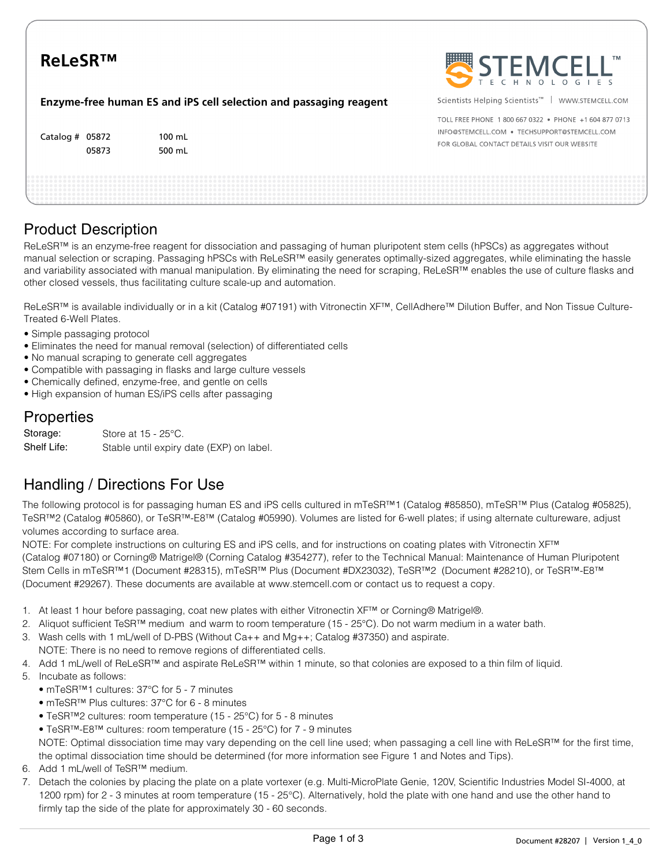| <b>ReLeSRTM</b>                                                   |                            | STEMCELL"                                                                                                                                             |
|-------------------------------------------------------------------|----------------------------|-------------------------------------------------------------------------------------------------------------------------------------------------------|
| Enzyme-free human ES and iPS cell selection and passaging reagent |                            | Scientists Helping Scientists <sup>™</sup>   WWW.STEMCELL.COM                                                                                         |
| Catalog $#$ 05872<br>05873                                        | $100 \text{ mL}$<br>500 mL | TOLL FREE PHONE 1800 667 0322 • PHONE +1 604 877 0713<br>INFO@STEMCELL.COM . TECHSUPPORT@STEMCELL.COM<br>FOR GLOBAL CONTACT DETAILS VISIT OUR WEBSITE |
|                                                                   |                            |                                                                                                                                                       |

# Product Description

ReLeSR™ is an enzyme-free reagent for dissociation and passaging of human pluripotent stem cells (hPSCs) as aggregates without manual selection or scraping. Passaging hPSCs with ReLeSR™ easily generates optimally-sized aggregates, while eliminating the hassle and variability associated with manual manipulation. By eliminating the need for scraping, ReLeSR™ enables the use of culture flasks and other closed vessels, thus facilitating culture scale-up and automation.

ReLeSR™ is available individually or in a kit (Catalog #07191) with Vitronectin XF™, CellAdhere™ Dilution Buffer, and Non Tissue Culture-Treated 6-Well Plates.

- Simple passaging protocol
- Eliminates the need for manual removal (selection) of differentiated cells
- No manual scraping to generate cell aggregates
- Compatible with passaging in flasks and large culture vessels
- Chemically defined, enzyme-free, and gentle on cells
- High expansion of human ES/iPS cells after passaging

### Properties

| Storage:    | Store at $15 - 25^{\circ}$ C.            |
|-------------|------------------------------------------|
| Shelf Life: | Stable until expiry date (EXP) on label. |

# Handling / Directions For Use

The following protocol is for passaging human ES and iPS cells cultured in mTeSR™1 (Catalog #85850), mTeSR™ Plus (Catalog #05825), TeSR™2 (Catalog #05860), or TeSR™-E8™ (Catalog #05990). Volumes are listed for 6-well plates; if using alternate cultureware, adjust volumes according to surface area.

NOTE: For complete instructions on culturing ES and iPS cells, and for instructions on coating plates with Vitronectin XF™ (Catalog #07180) or Corning® Matrigel® (Corning Catalog #354277), refer to the Technical Manual: Maintenance of Human Pluripotent Stem Cells in mTeSR™1 (Document #28315), mTeSR™ Plus (Document #DX23032), TeSR™2 (Document #28210), or TeSR™-E8™ (Document #29267). These documents are available at www.stemcell.com or contact us to request a copy.

- 1. At least 1 hour before passaging, coat new plates with either Vitronectin XF™ or Corning® Matrigel®.
- 2. Aliquot sufficient TeSR™ medium and warm to room temperature (15 25°C). Do not warm medium in a water bath.
- 3. Wash cells with 1 mL/well of D-PBS (Without Ca++ and Mg++; Catalog #37350) and aspirate. NOTE: There is no need to remove regions of differentiated cells.
- 4. Add 1 mL/well of ReLeSR™ and aspirate ReLeSR™ within 1 minute, so that colonies are exposed to a thin film of liquid.
- 5. Incubate as follows:
	- mTeSR™1 cultures: 37°C for 5 7 minutes
	- mTeSR™ Plus cultures: 37°C for 6 8 minutes
	- TeSR™2 cultures: room temperature (15 25°C) for 5 8 minutes
	- TeSR™-E8™ cultures: room temperature (15 25°C) for 7 9 minutes

NOTE: Optimal dissociation time may vary depending on the cell line used; when passaging a cell line with ReLeSR™ for the first time, the optimal dissociation time should be determined (for more information see Figure 1 and Notes and Tips).

- 6. Add 1 mL/well of TeSR™ medium.
- 7. Detach the colonies by placing the plate on a plate vortexer (e.g. Multi-MicroPlate Genie, 120V, Scientific Industries Model SI-4000, at 1200 rpm) for 2 - 3 minutes at room temperature (15 - 25°C). Alternatively, hold the plate with one hand and use the other hand to firmly tap the side of the plate for approximately 30 - 60 seconds.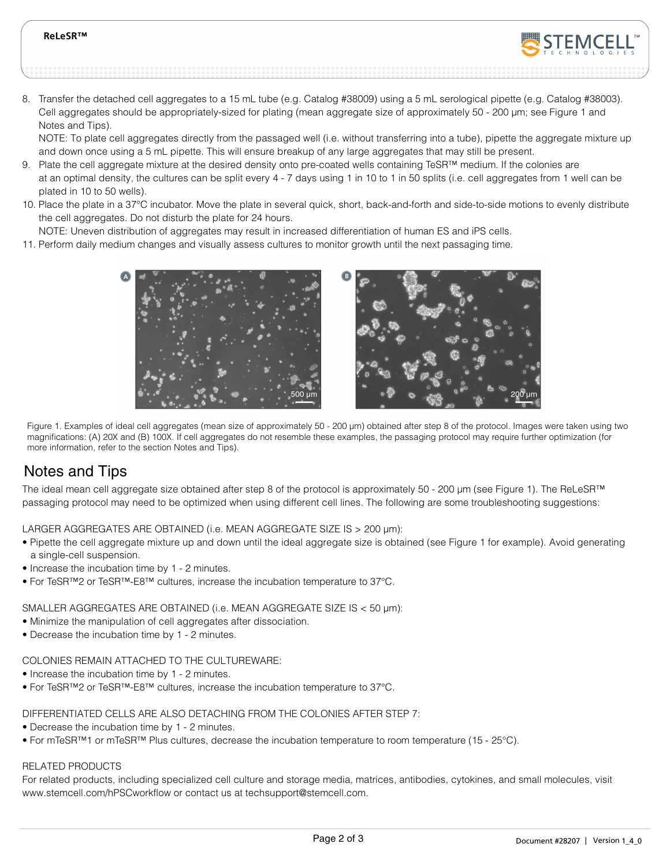#### **ReLeSR™**



8. Transfer the detached cell aggregates to a 15 mL tube (e.g. Catalog #38009) using a 5 mL serological pipette (e.g. Catalog #38003). Cell aggregates should be appropriately-sized for plating (mean aggregate size of approximately 50 - 200 µm; see Figure 1 and Notes and Tips).

NOTE: To plate cell aggregates directly from the passaged well (i.e. without transferring into a tube), pipette the aggregate mixture up and down once using a 5 mL pipette. This will ensure breakup of any large aggregates that may still be present.

- 9. Plate the cell aggregate mixture at the desired density onto pre-coated wells containing TeSR™ medium. If the colonies are at an optimal density, the cultures can be split every 4 - 7 days using 1 in 10 to 1 in 50 splits (i.e. cell aggregates from 1 well can be plated in 10 to 50 wells).
- 10. Place the plate in a 37°C incubator. Move the plate in several quick, short, back-and-forth and side-to-side motions to evenly distribute the cell aggregates. Do not disturb the plate for 24 hours.
- NOTE: Uneven distribution of aggregates may result in increased differentiation of human ES and iPS cells.
- 11. Perform daily medium changes and visually assess cultures to monitor growth until the next passaging time.



Figure 1. Examples of ideal cell aggregates (mean size of approximately 50 - 200 µm) obtained after step 8 of the protocol. Images were taken using two magnifications: (A) 20X and (B) 100X. If cell aggregates do not resemble these examples, the passaging protocol may require further optimization (for more information, refer to the section Notes and Tips).

# Notes and Tips

The ideal mean cell aggregate size obtained after step 8 of the protocol is approximately 50 - 200 µm (see Figure 1). The ReLeSR™ passaging protocol may need to be optimized when using different cell lines. The following are some troubleshooting suggestions:

LARGER AGGREGATES ARE OBTAINED (i.e. MEAN AGGREGATE SIZE IS > 200 µm):

- Pipette the cell aggregate mixture up and down until the ideal aggregate size is obtained (see Figure 1 for example). Avoid generating a single-cell suspension.
- Increase the incubation time by 1 2 minutes.
- For TeSR™2 or TeSR™-E8™ cultures, increase the incubation temperature to 37°C.

SMALLER AGGREGATES ARE OBTAINED (i.e. MEAN AGGREGATE SIZE IS < 50 µm):

- Minimize the manipulation of cell aggregates after dissociation.
- Decrease the incubation time by 1 2 minutes.

### COLONIES REMAIN ATTACHED TO THE CULTUREWARE:

- Increase the incubation time by 1 2 minutes.
- For TeSR™2 or TeSR™-E8™ cultures, increase the incubation temperature to 37°C.

DIFFERENTIATED CELLS ARE ALSO DETACHING FROM THE COLONIES AFTER STEP 7:

- Decrease the incubation time by 1 2 minutes.
- For mTeSR™1 or mTeSR™ Plus cultures, decrease the incubation temperature to room temperature (15 25°C).

### RELATED PRODUCTS

For related products, including specialized cell culture and storage media, matrices, antibodies, cytokines, and small molecules, visit www.stemcell.com/hPSCworkflow or contact us at techsupport@stemcell.com.